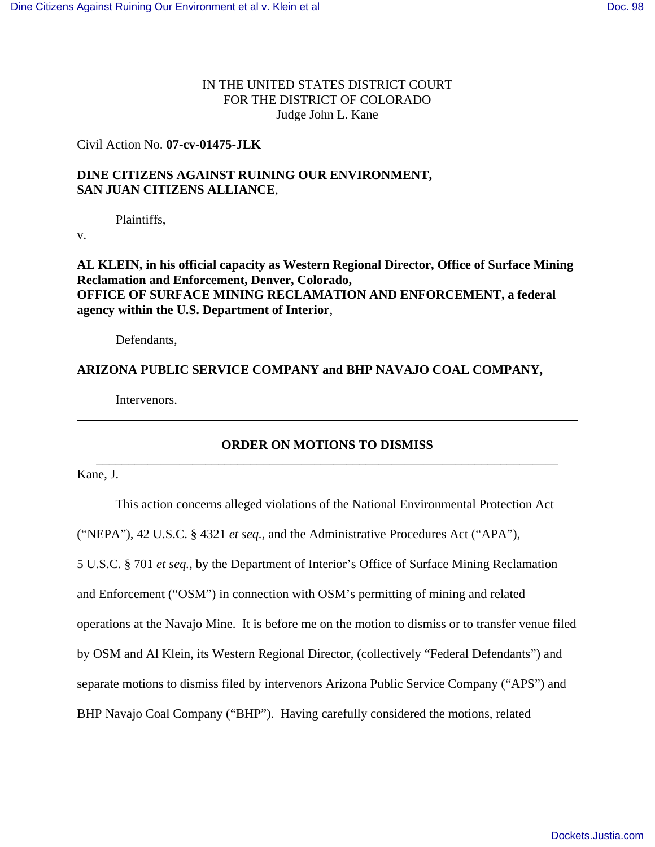# IN THE UNITED STATES DISTRICT COURT FOR THE DISTRICT OF COLORADO Judge John L. Kane

### Civil Action No. **07-cv-01475-JLK**

# **DINE CITIZENS AGAINST RUINING OUR ENVIRONMENT, SAN JUAN CITIZENS ALLIANCE**,

Plaintiffs,

v.

**AL KLEIN, in his official capacity as Western Regional Director, Office of Surface Mining Reclamation and Enforcement, Denver, Colorado, OFFICE OF SURFACE MINING RECLAMATION AND ENFORCEMENT, a federal agency within the U.S. Department of Interior**,

Defendants,

### **ARIZONA PUBLIC SERVICE COMPANY and BHP NAVAJO COAL COMPANY,**

Intervenors.

# **ORDER ON MOTIONS TO DISMISS** \_\_\_\_\_\_\_\_\_\_\_\_\_\_\_\_\_\_\_\_\_\_\_\_\_\_\_\_\_\_\_\_\_\_\_\_\_\_\_\_\_\_\_\_\_\_\_\_\_\_\_\_\_\_\_\_\_\_\_\_\_\_\_\_\_\_\_\_\_\_\_\_

Kane, J.

This action concerns alleged violations of the National Environmental Protection Act ("NEPA"), 42 U.S.C. § 4321 *et seq.*, and the Administrative Procedures Act ("APA"), 5 U.S.C. § 701 *et seq.*, by the Department of Interior's Office of Surface Mining Reclamation and Enforcement ("OSM") in connection with OSM's permitting of mining and related operations at the Navajo Mine. It is before me on the motion to dismiss or to transfer venue filed by OSM and Al Klein, its Western Regional Director, (collectively "Federal Defendants") and separate motions to dismiss filed by intervenors Arizona Public Service Company ("APS") and BHP Navajo Coal Company ("BHP"). Having carefully considered the motions, related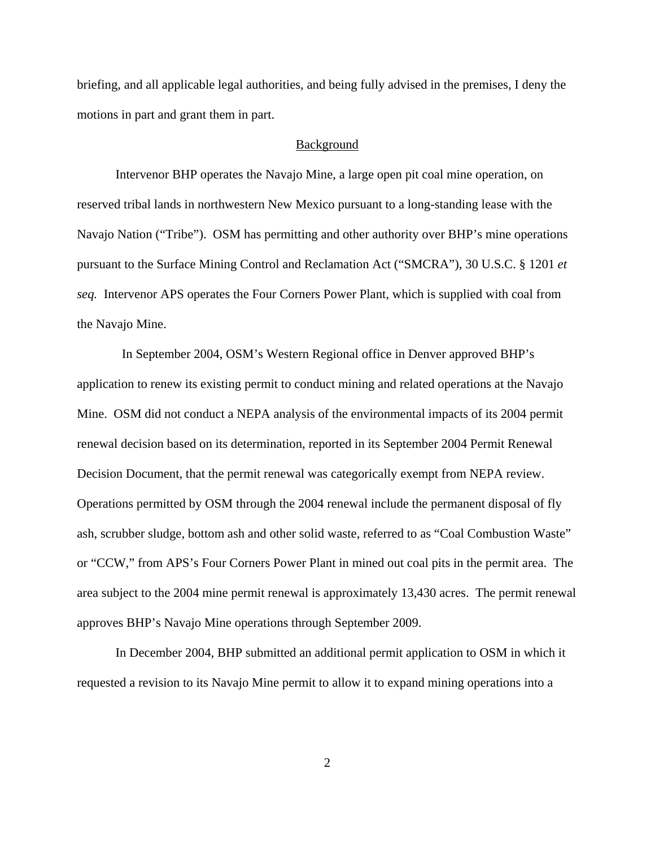briefing, and all applicable legal authorities, and being fully advised in the premises, I deny the motions in part and grant them in part.

#### **Background**

Intervenor BHP operates the Navajo Mine, a large open pit coal mine operation, on reserved tribal lands in northwestern New Mexico pursuant to a long-standing lease with the Navajo Nation ("Tribe"). OSM has permitting and other authority over BHP's mine operations pursuant to the Surface Mining Control and Reclamation Act ("SMCRA"), 30 U.S.C. § 1201 *et seq.* Intervenor APS operates the Four Corners Power Plant, which is supplied with coal from the Navajo Mine.

 In September 2004, OSM's Western Regional office in Denver approved BHP's application to renew its existing permit to conduct mining and related operations at the Navajo Mine. OSM did not conduct a NEPA analysis of the environmental impacts of its 2004 permit renewal decision based on its determination, reported in its September 2004 Permit Renewal Decision Document, that the permit renewal was categorically exempt from NEPA review. Operations permitted by OSM through the 2004 renewal include the permanent disposal of fly ash, scrubber sludge, bottom ash and other solid waste, referred to as "Coal Combustion Waste" or "CCW," from APS's Four Corners Power Plant in mined out coal pits in the permit area. The area subject to the 2004 mine permit renewal is approximately 13,430 acres. The permit renewal approves BHP's Navajo Mine operations through September 2009.

In December 2004, BHP submitted an additional permit application to OSM in which it requested a revision to its Navajo Mine permit to allow it to expand mining operations into a

2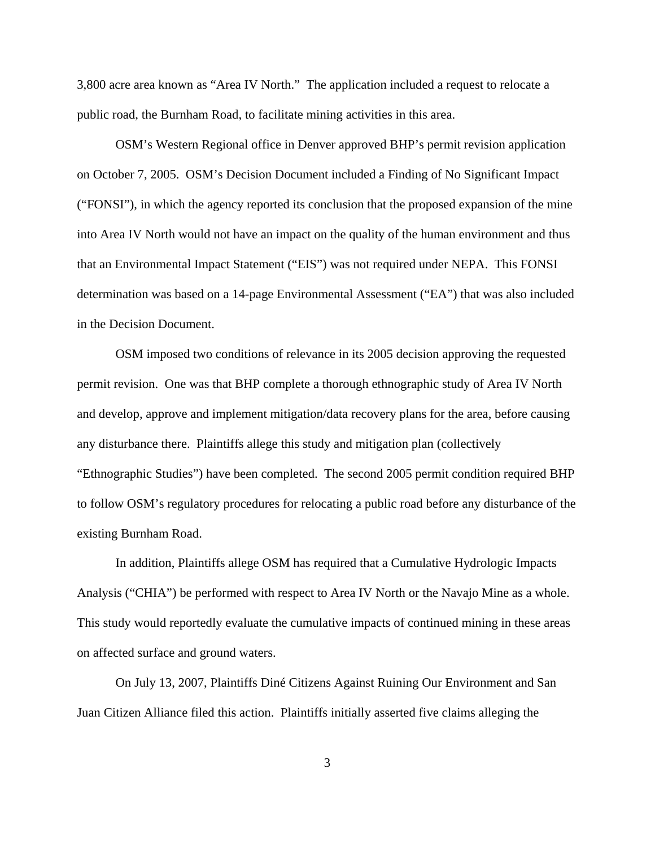3,800 acre area known as "Area IV North." The application included a request to relocate a public road, the Burnham Road, to facilitate mining activities in this area.

OSM's Western Regional office in Denver approved BHP's permit revision application on October 7, 2005. OSM's Decision Document included a Finding of No Significant Impact ("FONSI"), in which the agency reported its conclusion that the proposed expansion of the mine into Area IV North would not have an impact on the quality of the human environment and thus that an Environmental Impact Statement ("EIS") was not required under NEPA. This FONSI determination was based on a 14-page Environmental Assessment ("EA") that was also included in the Decision Document.

OSM imposed two conditions of relevance in its 2005 decision approving the requested permit revision. One was that BHP complete a thorough ethnographic study of Area IV North and develop, approve and implement mitigation/data recovery plans for the area, before causing any disturbance there. Plaintiffs allege this study and mitigation plan (collectively "Ethnographic Studies") have been completed. The second 2005 permit condition required BHP to follow OSM's regulatory procedures for relocating a public road before any disturbance of the existing Burnham Road.

In addition, Plaintiffs allege OSM has required that a Cumulative Hydrologic Impacts Analysis ("CHIA") be performed with respect to Area IV North or the Navajo Mine as a whole. This study would reportedly evaluate the cumulative impacts of continued mining in these areas on affected surface and ground waters.

On July 13, 2007, Plaintiffs Diné Citizens Against Ruining Our Environment and San Juan Citizen Alliance filed this action. Plaintiffs initially asserted five claims alleging the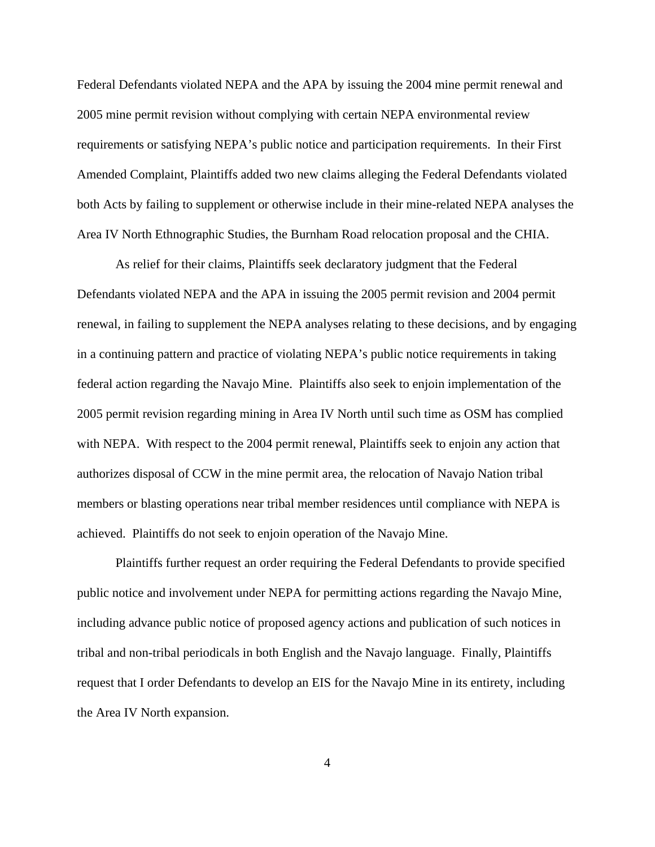Federal Defendants violated NEPA and the APA by issuing the 2004 mine permit renewal and 2005 mine permit revision without complying with certain NEPA environmental review requirements or satisfying NEPA's public notice and participation requirements. In their First Amended Complaint, Plaintiffs added two new claims alleging the Federal Defendants violated both Acts by failing to supplement or otherwise include in their mine-related NEPA analyses the Area IV North Ethnographic Studies, the Burnham Road relocation proposal and the CHIA.

As relief for their claims, Plaintiffs seek declaratory judgment that the Federal Defendants violated NEPA and the APA in issuing the 2005 permit revision and 2004 permit renewal, in failing to supplement the NEPA analyses relating to these decisions, and by engaging in a continuing pattern and practice of violating NEPA's public notice requirements in taking federal action regarding the Navajo Mine. Plaintiffs also seek to enjoin implementation of the 2005 permit revision regarding mining in Area IV North until such time as OSM has complied with NEPA. With respect to the 2004 permit renewal, Plaintiffs seek to enjoin any action that authorizes disposal of CCW in the mine permit area, the relocation of Navajo Nation tribal members or blasting operations near tribal member residences until compliance with NEPA is achieved. Plaintiffs do not seek to enjoin operation of the Navajo Mine.

Plaintiffs further request an order requiring the Federal Defendants to provide specified public notice and involvement under NEPA for permitting actions regarding the Navajo Mine, including advance public notice of proposed agency actions and publication of such notices in tribal and non-tribal periodicals in both English and the Navajo language. Finally, Plaintiffs request that I order Defendants to develop an EIS for the Navajo Mine in its entirety, including the Area IV North expansion.

4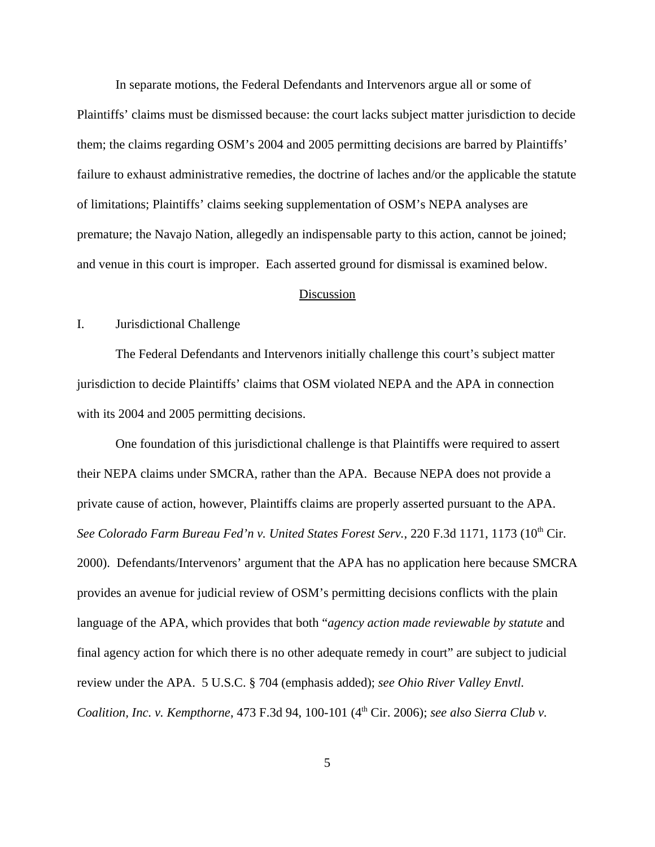In separate motions, the Federal Defendants and Intervenors argue all or some of Plaintiffs' claims must be dismissed because: the court lacks subject matter jurisdiction to decide them; the claims regarding OSM's 2004 and 2005 permitting decisions are barred by Plaintiffs' failure to exhaust administrative remedies, the doctrine of laches and/or the applicable the statute of limitations; Plaintiffs' claims seeking supplementation of OSM's NEPA analyses are premature; the Navajo Nation, allegedly an indispensable party to this action, cannot be joined; and venue in this court is improper. Each asserted ground for dismissal is examined below.

### Discussion

# I. Jurisdictional Challenge

The Federal Defendants and Intervenors initially challenge this court's subject matter jurisdiction to decide Plaintiffs' claims that OSM violated NEPA and the APA in connection with its 2004 and 2005 permitting decisions.

One foundation of this jurisdictional challenge is that Plaintiffs were required to assert their NEPA claims under SMCRA, rather than the APA. Because NEPA does not provide a private cause of action, however, Plaintiffs claims are properly asserted pursuant to the APA. See Colorado Farm Bureau Fed'n v. United States Forest Serv., 220 F.3d 1171, 1173 (10<sup>th</sup> Cir. 2000). Defendants/Intervenors' argument that the APA has no application here because SMCRA provides an avenue for judicial review of OSM's permitting decisions conflicts with the plain language of the APA, which provides that both "*agency action made reviewable by statute* and final agency action for which there is no other adequate remedy in court" are subject to judicial review under the APA. 5 U.S.C. § 704 (emphasis added); *see Ohio River Valley Envtl. Coalition, Inc. v. Kempthorne, 473 F.3d 94, 100-101 (4<sup>th</sup> Cir. 2006); see also Sierra Club v.*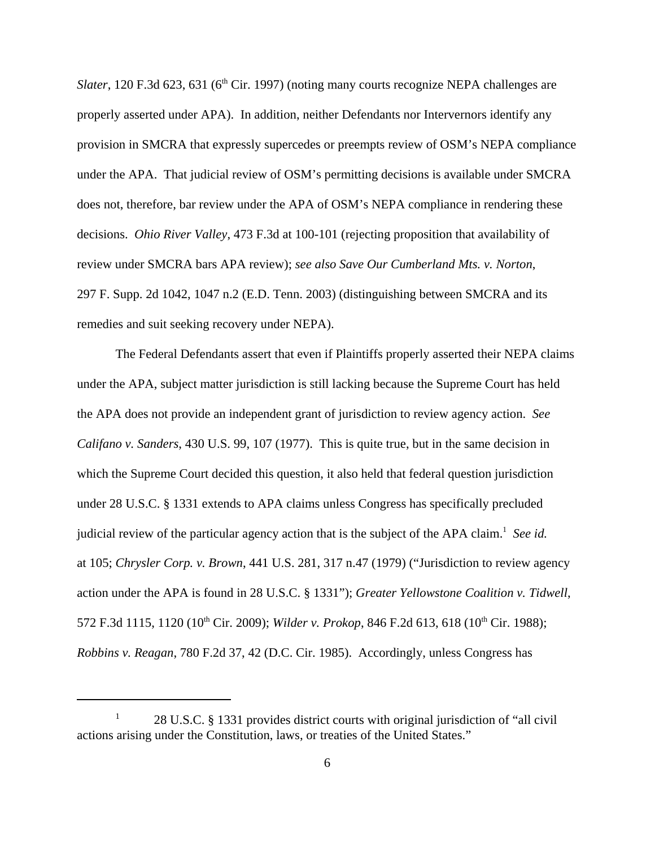*Slater*, 120 F.3d 623, 631 ( $6<sup>th</sup>$  Cir. 1997) (noting many courts recognize NEPA challenges are properly asserted under APA). In addition, neither Defendants nor Intervernors identify any provision in SMCRA that expressly supercedes or preempts review of OSM's NEPA compliance under the APA. That judicial review of OSM's permitting decisions is available under SMCRA does not, therefore, bar review under the APA of OSM's NEPA compliance in rendering these decisions. *Ohio River Valley*, 473 F.3d at 100-101 (rejecting proposition that availability of review under SMCRA bars APA review); *see also Save Our Cumberland Mts. v. Norton*, 297 F. Supp. 2d 1042, 1047 n.2 (E.D. Tenn. 2003) (distinguishing between SMCRA and its remedies and suit seeking recovery under NEPA).

The Federal Defendants assert that even if Plaintiffs properly asserted their NEPA claims under the APA, subject matter jurisdiction is still lacking because the Supreme Court has held the APA does not provide an independent grant of jurisdiction to review agency action. *See Califano v. Sanders*, 430 U.S. 99, 107 (1977). This is quite true, but in the same decision in which the Supreme Court decided this question, it also held that federal question jurisdiction under 28 U.S.C. § 1331 extends to APA claims unless Congress has specifically precluded judicial review of the particular agency action that is the subject of the APA claim.<sup>1</sup> See id. at 105; *Chrysler Corp. v. Brown*, 441 U.S. 281, 317 n.47 (1979) ("Jurisdiction to review agency action under the APA is found in 28 U.S.C. § 1331"); *Greater Yellowstone Coalition v. Tidwell*, 572 F.3d 1115, 1120 (10<sup>th</sup> Cir. 2009); *Wilder v. Prokop*, 846 F.2d 613, 618 (10<sup>th</sup> Cir. 1988); *Robbins v. Reagan*, 780 F.2d 37, 42 (D.C. Cir. 1985). Accordingly, unless Congress has

<sup>1</sup> 28 U.S.C. § 1331 provides district courts with original jurisdiction of "all civil actions arising under the Constitution, laws, or treaties of the United States."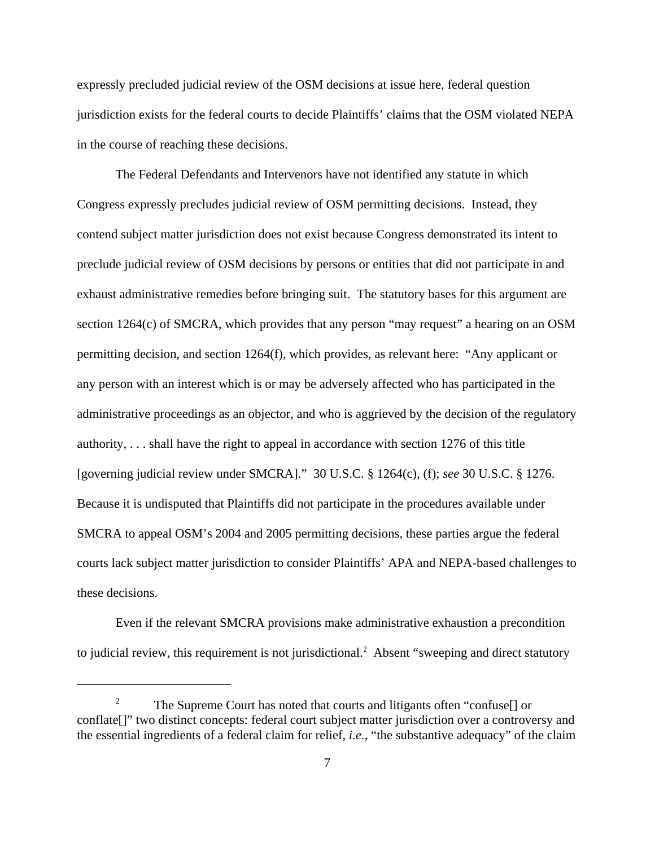expressly precluded judicial review of the OSM decisions at issue here, federal question jurisdiction exists for the federal courts to decide Plaintiffs' claims that the OSM violated NEPA in the course of reaching these decisions.

The Federal Defendants and Intervenors have not identified any statute in which Congress expressly precludes judicial review of OSM permitting decisions. Instead, they contend subject matter jurisdiction does not exist because Congress demonstrated its intent to preclude judicial review of OSM decisions by persons or entities that did not participate in and exhaust administrative remedies before bringing suit. The statutory bases for this argument are section 1264(c) of SMCRA, which provides that any person "may request" a hearing on an OSM permitting decision, and section 1264(f), which provides, as relevant here: "Any applicant or any person with an interest which is or may be adversely affected who has participated in the administrative proceedings as an objector, and who is aggrieved by the decision of the regulatory authority, . . . shall have the right to appeal in accordance with section 1276 of this title [governing judicial review under SMCRA]." 30 U.S.C. § 1264(c), (f); *see* 30 U.S.C. § 1276. Because it is undisputed that Plaintiffs did not participate in the procedures available under SMCRA to appeal OSM's 2004 and 2005 permitting decisions, these parties argue the federal courts lack subject matter jurisdiction to consider Plaintiffs' APA and NEPA-based challenges to these decisions.

Even if the relevant SMCRA provisions make administrative exhaustion a precondition to judicial review, this requirement is not jurisdictional.<sup>2</sup> Absent "sweeping and direct statutory

<sup>2</sup> The Supreme Court has noted that courts and litigants often "confuse[] or conflate[]" two distinct concepts: federal court subject matter jurisdiction over a controversy and the essential ingredients of a federal claim for relief, *i.e.*, "the substantive adequacy" of the claim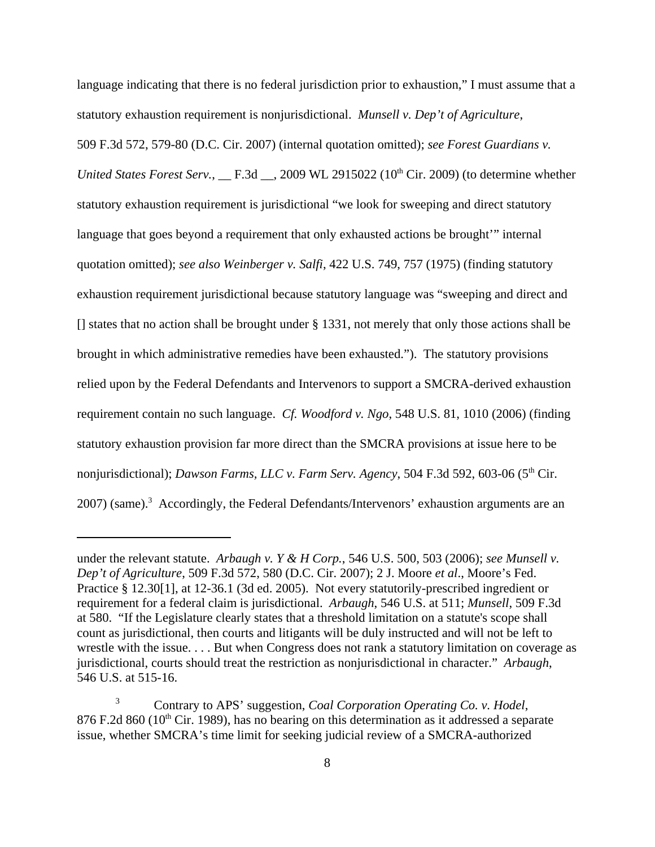language indicating that there is no federal jurisdiction prior to exhaustion," I must assume that a statutory exhaustion requirement is nonjurisdictional. *Munsell v. Dep't of Agriculture*,

509 F.3d 572, 579-80 (D.C. Cir. 2007) (internal quotation omitted); *see Forest Guardians v. United States Forest Serv.*, \_\_ F.3d \_\_, 2009 WL 2915022 (10<sup>th</sup> Cir. 2009) (to determine whether statutory exhaustion requirement is jurisdictional "we look for sweeping and direct statutory language that goes beyond a requirement that only exhausted actions be brought" internal quotation omitted); *see also Weinberger v. Salfi*, 422 U.S. 749, 757 (1975) (finding statutory exhaustion requirement jurisdictional because statutory language was "sweeping and direct and [] states that no action shall be brought under § 1331, not merely that only those actions shall be brought in which administrative remedies have been exhausted."). The statutory provisions relied upon by the Federal Defendants and Intervenors to support a SMCRA-derived exhaustion requirement contain no such language. *Cf. Woodford v. Ngo*, 548 U.S. 81, 1010 (2006) (finding statutory exhaustion provision far more direct than the SMCRA provisions at issue here to be nonjurisdictional); *Dawson Farms, LLC v. Farm Serv. Agency*, 504 F.3d 592, 603-06 (5<sup>th</sup> Cir. 2007) (same).<sup>3</sup> Accordingly, the Federal Defendants/Intervenors' exhaustion arguments are an

under the relevant statute. *Arbaugh v. Y & H Corp.*, 546 U.S. 500, 503 (2006); *see Munsell v. Dep't of Agriculture*, 509 F.3d 572, 580 (D.C. Cir. 2007); 2 J. Moore *et al*., Moore's Fed. Practice § 12.30[1], at 12-36.1 (3d ed. 2005). Not every statutorily-prescribed ingredient or requirement for a federal claim is jurisdictional. *Arbaugh*, 546 U.S. at 511; *Munsell*, 509 F.3d at 580. "If the Legislature clearly states that a threshold limitation on a statute's scope shall count as jurisdictional, then courts and litigants will be duly instructed and will not be left to wrestle with the issue. . . . But when Congress does not rank a statutory limitation on coverage as jurisdictional, courts should treat the restriction as nonjurisdictional in character." *Arbaugh*, 546 U.S. at 515-16.

<sup>3</sup> Contrary to APS' suggestion, *Coal Corporation Operating Co. v. Hodel*,  $876$  F.2d  $860$  (10<sup>th</sup> Cir. 1989), has no bearing on this determination as it addressed a separate issue, whether SMCRA's time limit for seeking judicial review of a SMCRA-authorized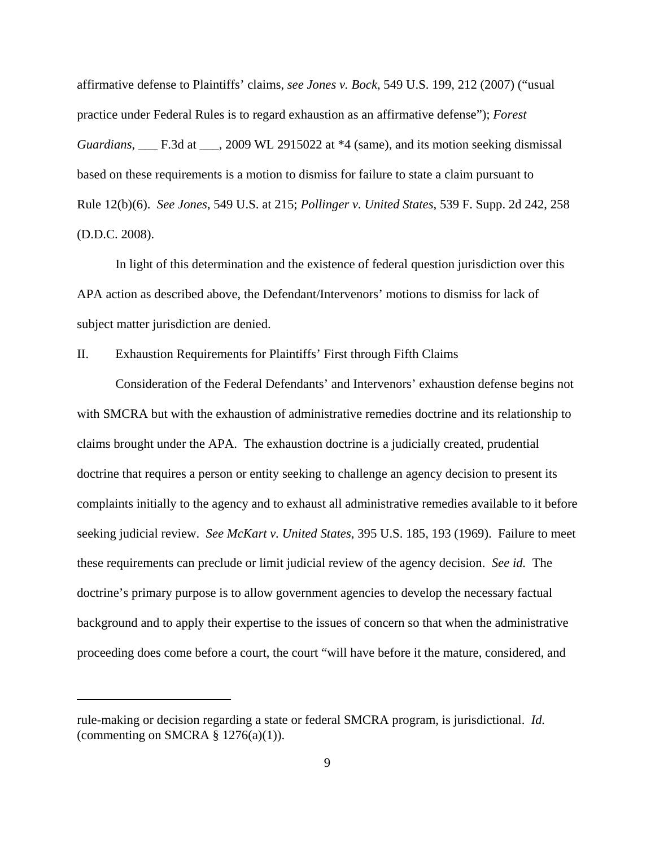affirmative defense to Plaintiffs' claims, *see Jones v. Bock*, 549 U.S. 199, 212 (2007) ("usual practice under Federal Rules is to regard exhaustion as an affirmative defense"); *Forest Guardians*, \_\_\_ F.3d at \_\_\_, 2009 WL 2915022 at \*4 (same), and its motion seeking dismissal based on these requirements is a motion to dismiss for failure to state a claim pursuant to Rule 12(b)(6). *See Jones*, 549 U.S. at 215; *Pollinger v. United States*, 539 F. Supp. 2d 242, 258 (D.D.C. 2008).

In light of this determination and the existence of federal question jurisdiction over this APA action as described above, the Defendant/Intervenors' motions to dismiss for lack of subject matter jurisdiction are denied.

II. Exhaustion Requirements for Plaintiffs' First through Fifth Claims

Consideration of the Federal Defendants' and Intervenors' exhaustion defense begins not with SMCRA but with the exhaustion of administrative remedies doctrine and its relationship to claims brought under the APA. The exhaustion doctrine is a judicially created, prudential doctrine that requires a person or entity seeking to challenge an agency decision to present its complaints initially to the agency and to exhaust all administrative remedies available to it before seeking judicial review. *See McKart v. United States*, 395 U.S. 185, 193 (1969). Failure to meet these requirements can preclude or limit judicial review of the agency decision. *See id.* The doctrine's primary purpose is to allow government agencies to develop the necessary factual background and to apply their expertise to the issues of concern so that when the administrative proceeding does come before a court, the court "will have before it the mature, considered, and

rule-making or decision regarding a state or federal SMCRA program, is jurisdictional. *Id.* (commenting on SMCRA  $\S$  1276(a)(1)).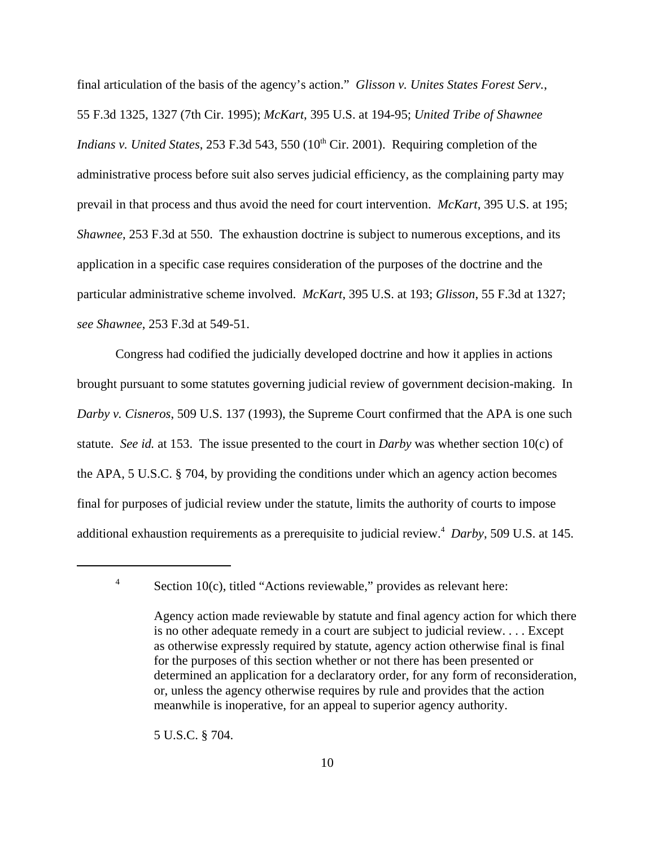final articulation of the basis of the agency's action." *Glisson v. Unites States Forest Serv.*, 55 F.3d 1325, 1327 (7th Cir. 1995); *McKart*, 395 U.S. at 194-95; *United Tribe of Shawnee Indians v. United States*, 253 F.3d 543, 550 (10<sup>th</sup> Cir. 2001). Requiring completion of the administrative process before suit also serves judicial efficiency, as the complaining party may prevail in that process and thus avoid the need for court intervention. *McKart*, 395 U.S. at 195; *Shawnee*, 253 F.3d at 550. The exhaustion doctrine is subject to numerous exceptions, and its application in a specific case requires consideration of the purposes of the doctrine and the particular administrative scheme involved. *McKart*, 395 U.S. at 193; *Glisson*, 55 F.3d at 1327; *see Shawnee*, 253 F.3d at 549-51.

Congress had codified the judicially developed doctrine and how it applies in actions brought pursuant to some statutes governing judicial review of government decision-making. In *Darby v. Cisneros*, 509 U.S. 137 (1993), the Supreme Court confirmed that the APA is one such statute. *See id.* at 153. The issue presented to the court in *Darby* was whether section 10(c) of the APA, 5 U.S.C. § 704, by providing the conditions under which an agency action becomes final for purposes of judicial review under the statute, limits the authority of courts to impose additional exhaustion requirements as a prerequisite to judicial review.<sup>4</sup> Darby, 509 U.S. at 145.

5 U.S.C. § 704.

 $4$  Section 10(c), titled "Actions reviewable," provides as relevant here:

Agency action made reviewable by statute and final agency action for which there is no other adequate remedy in a court are subject to judicial review. . . . Except as otherwise expressly required by statute, agency action otherwise final is final for the purposes of this section whether or not there has been presented or determined an application for a declaratory order, for any form of reconsideration, or, unless the agency otherwise requires by rule and provides that the action meanwhile is inoperative, for an appeal to superior agency authority.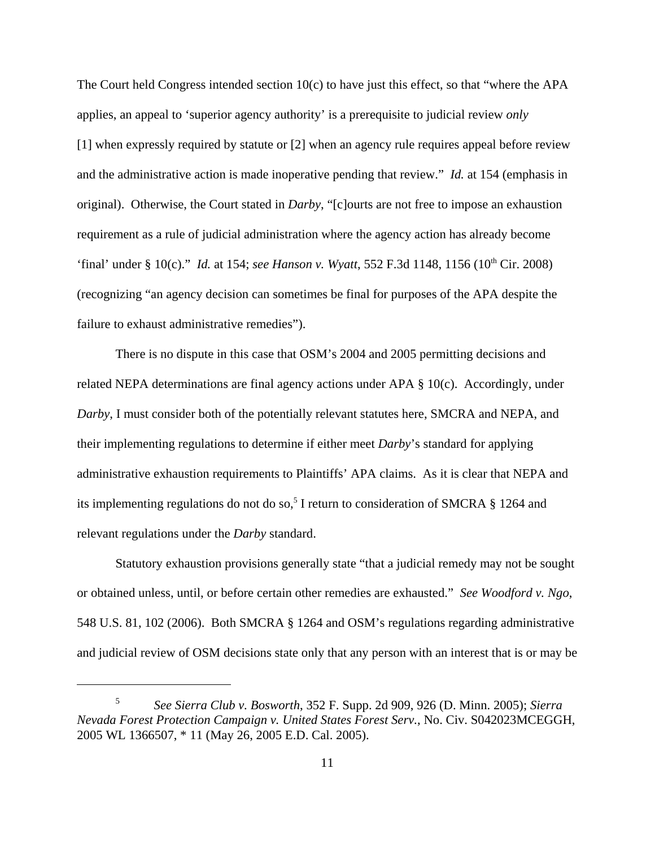The Court held Congress intended section  $10(c)$  to have just this effect, so that "where the APA applies, an appeal to 'superior agency authority' is a prerequisite to judicial review *only* [1] when expressly required by statute or [2] when an agency rule requires appeal before review and the administrative action is made inoperative pending that review." *Id.* at 154 (emphasis in original). Otherwise, the Court stated in *Darby*, "[c]ourts are not free to impose an exhaustion requirement as a rule of judicial administration where the agency action has already become 'final' under § 10(c)." *Id.* at 154; *see Hanson v. Wyatt*, 552 F.3d 1148, 1156 (10<sup>th</sup> Cir. 2008) (recognizing "an agency decision can sometimes be final for purposes of the APA despite the failure to exhaust administrative remedies").

There is no dispute in this case that OSM's 2004 and 2005 permitting decisions and related NEPA determinations are final agency actions under APA § 10(c). Accordingly, under *Darby*, I must consider both of the potentially relevant statutes here, SMCRA and NEPA, and their implementing regulations to determine if either meet *Darby*'s standard for applying administrative exhaustion requirements to Plaintiffs' APA claims. As it is clear that NEPA and its implementing regulations do not do so,<sup>5</sup> I return to consideration of SMCRA  $\S$  1264 and relevant regulations under the *Darby* standard.

Statutory exhaustion provisions generally state "that a judicial remedy may not be sought or obtained unless, until, or before certain other remedies are exhausted." *See Woodford v. Ngo*, 548 U.S. 81, 102 (2006). Both SMCRA § 1264 and OSM's regulations regarding administrative and judicial review of OSM decisions state only that any person with an interest that is or may be

<sup>5</sup> *See Sierra Club v. Bosworth*, 352 F. Supp. 2d 909, 926 (D. Minn. 2005); *Sierra Nevada Forest Protection Campaign v. United States Forest Serv.*, No. Civ. S042023MCEGGH, 2005 WL 1366507, \* 11 (May 26, 2005 E.D. Cal. 2005).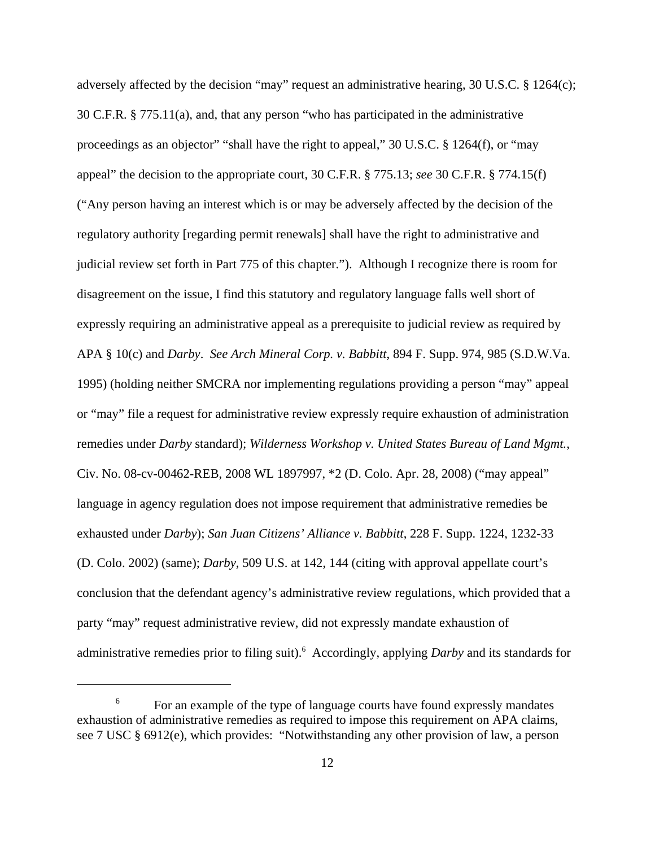adversely affected by the decision "may" request an administrative hearing, 30 U.S.C. § 1264(c); 30 C.F.R. § 775.11(a), and, that any person "who has participated in the administrative proceedings as an objector" "shall have the right to appeal," 30 U.S.C. § 1264(f), or "may appeal" the decision to the appropriate court, 30 C.F.R. § 775.13; *see* 30 C.F.R. § 774.15(f) ("Any person having an interest which is or may be adversely affected by the decision of the regulatory authority [regarding permit renewals] shall have the right to administrative and judicial review set forth in Part 775 of this chapter."). Although I recognize there is room for disagreement on the issue, I find this statutory and regulatory language falls well short of expressly requiring an administrative appeal as a prerequisite to judicial review as required by APA § 10(c) and *Darby*. *See Arch Mineral Corp. v. Babbitt*, 894 F. Supp. 974, 985 (S.D.W.Va. 1995) (holding neither SMCRA nor implementing regulations providing a person "may" appeal or "may" file a request for administrative review expressly require exhaustion of administration remedies under *Darby* standard); *Wilderness Workshop v. United States Bureau of Land Mgmt.*, Civ. No. 08-cv-00462-REB, 2008 WL 1897997, \*2 (D. Colo. Apr. 28, 2008) ("may appeal" language in agency regulation does not impose requirement that administrative remedies be exhausted under *Darby*); *San Juan Citizens' Alliance v. Babbitt*, 228 F. Supp. 1224, 1232-33 (D. Colo. 2002) (same); *Darby*, 509 U.S. at 142, 144 (citing with approval appellate court's conclusion that the defendant agency's administrative review regulations, which provided that a party "may" request administrative review, did not expressly mandate exhaustion of administrative remedies prior to filing suit).<sup>6</sup> Accordingly, applying *Darby* and its standards for

<sup>&</sup>lt;sup>6</sup> For an example of the type of language courts have found expressly mandates exhaustion of administrative remedies as required to impose this requirement on APA claims, see 7 USC § 6912(e), which provides: "Notwithstanding any other provision of law, a person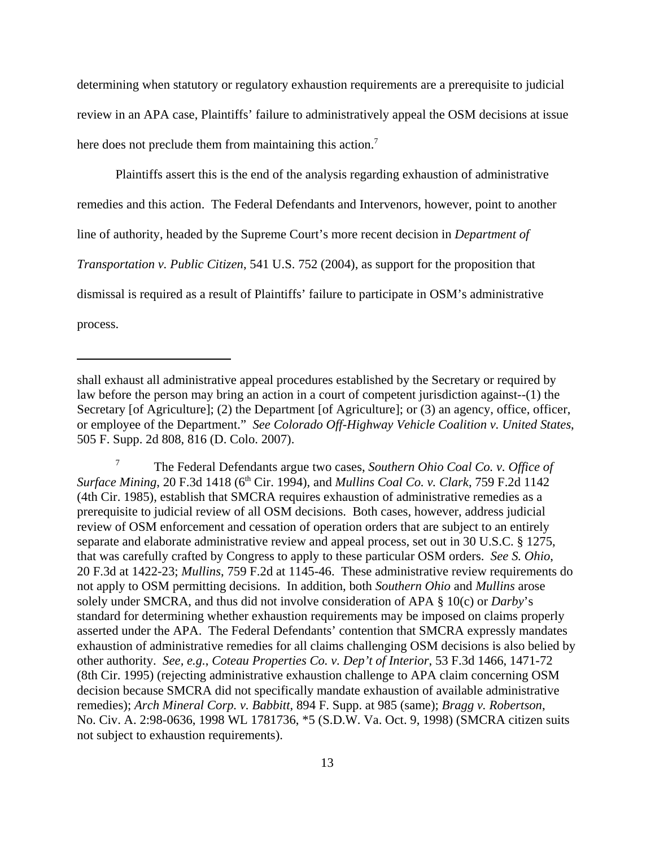determining when statutory or regulatory exhaustion requirements are a prerequisite to judicial review in an APA case, Plaintiffs' failure to administratively appeal the OSM decisions at issue here does not preclude them from maintaining this action.<sup>7</sup>

Plaintiffs assert this is the end of the analysis regarding exhaustion of administrative remedies and this action. The Federal Defendants and Intervenors, however, point to another line of authority, headed by the Supreme Court's more recent decision in *Department of Transportation v. Public Citizen*, 541 U.S. 752 (2004), as support for the proposition that dismissal is required as a result of Plaintiffs' failure to participate in OSM's administrative process.

shall exhaust all administrative appeal procedures established by the Secretary or required by law before the person may bring an action in a court of competent jurisdiction against--(1) the Secretary [of Agriculture]; (2) the Department [of Agriculture]; or (3) an agency, office, officer, or employee of the Department." *See Colorado Off-Highway Vehicle Coalition v. United States*, 505 F. Supp. 2d 808, 816 (D. Colo. 2007).

<sup>7</sup> The Federal Defendants argue two cases, *Southern Ohio Coal Co. v. Office of Surface Mining*, 20 F.3d 1418 (6<sup>th</sup> Cir. 1994), and *Mullins Coal Co. v. Clark*, 759 F.2d 1142 (4th Cir. 1985), establish that SMCRA requires exhaustion of administrative remedies as a prerequisite to judicial review of all OSM decisions. Both cases, however, address judicial review of OSM enforcement and cessation of operation orders that are subject to an entirely separate and elaborate administrative review and appeal process, set out in 30 U.S.C. § 1275, that was carefully crafted by Congress to apply to these particular OSM orders. *See S. Ohio*, 20 F.3d at 1422-23; *Mullins*, 759 F.2d at 1145-46. These administrative review requirements do not apply to OSM permitting decisions. In addition, both *Southern Ohio* and *Mullins* arose solely under SMCRA, and thus did not involve consideration of APA § 10(c) or *Darby*'s standard for determining whether exhaustion requirements may be imposed on claims properly asserted under the APA. The Federal Defendants' contention that SMCRA expressly mandates exhaustion of administrative remedies for all claims challenging OSM decisions is also belied by other authority. *See, e.g.*, *Coteau Properties Co. v. Dep't of Interior*, 53 F.3d 1466, 1471-72 (8th Cir. 1995) (rejecting administrative exhaustion challenge to APA claim concerning OSM decision because SMCRA did not specifically mandate exhaustion of available administrative remedies); *Arch Mineral Corp. v. Babbitt*, 894 F. Supp. at 985 (same); *Bragg v. Robertson*, No. Civ. A. 2:98-0636, 1998 WL 1781736, \*5 (S.D.W. Va. Oct. 9, 1998) (SMCRA citizen suits not subject to exhaustion requirements).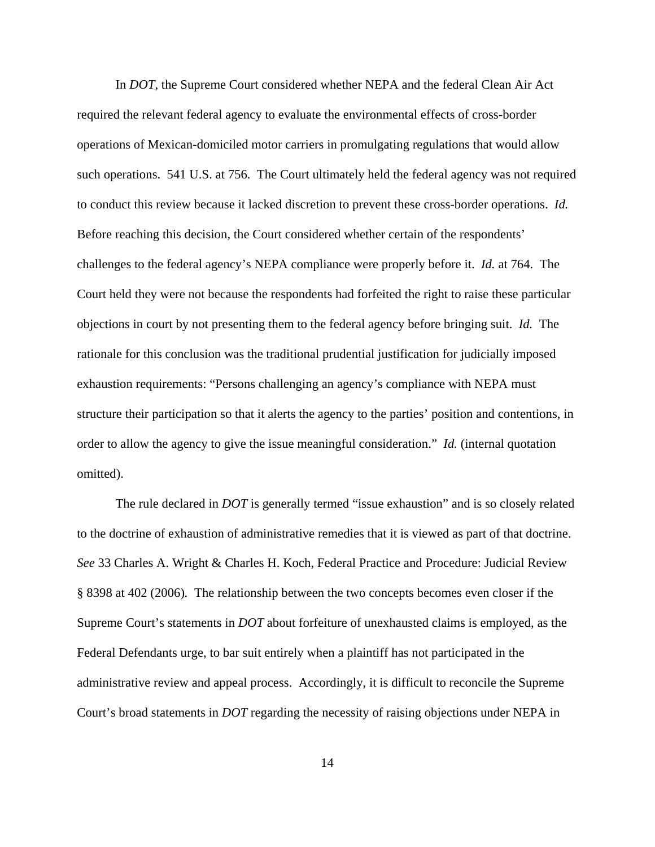In *DOT*, the Supreme Court considered whether NEPA and the federal Clean Air Act required the relevant federal agency to evaluate the environmental effects of cross-border operations of Mexican-domiciled motor carriers in promulgating regulations that would allow such operations. 541 U.S. at 756. The Court ultimately held the federal agency was not required to conduct this review because it lacked discretion to prevent these cross-border operations. *Id.* Before reaching this decision, the Court considered whether certain of the respondents' challenges to the federal agency's NEPA compliance were properly before it. *Id.* at 764. The Court held they were not because the respondents had forfeited the right to raise these particular objections in court by not presenting them to the federal agency before bringing suit. *Id.* The rationale for this conclusion was the traditional prudential justification for judicially imposed exhaustion requirements: "Persons challenging an agency's compliance with NEPA must structure their participation so that it alerts the agency to the parties' position and contentions, in order to allow the agency to give the issue meaningful consideration." *Id.* (internal quotation omitted).

The rule declared in *DOT* is generally termed "issue exhaustion" and is so closely related to the doctrine of exhaustion of administrative remedies that it is viewed as part of that doctrine. *See* 33 Charles A. Wright & Charles H. Koch, Federal Practice and Procedure: Judicial Review § 8398 at 402 (2006)*.* The relationship between the two concepts becomes even closer if the Supreme Court's statements in *DOT* about forfeiture of unexhausted claims is employed, as the Federal Defendants urge, to bar suit entirely when a plaintiff has not participated in the administrative review and appeal process. Accordingly, it is difficult to reconcile the Supreme Court's broad statements in *DOT* regarding the necessity of raising objections under NEPA in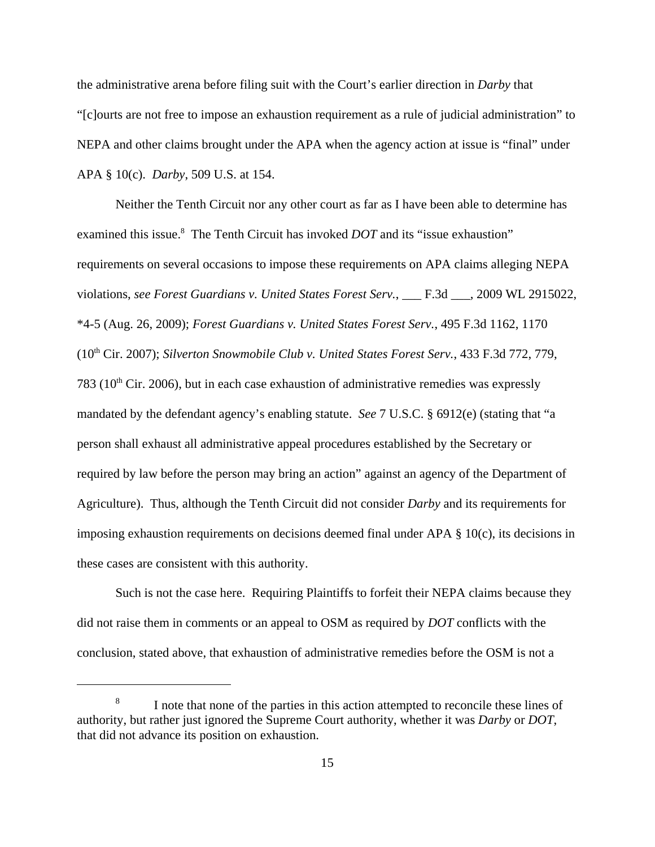the administrative arena before filing suit with the Court's earlier direction in *Darby* that "[c]ourts are not free to impose an exhaustion requirement as a rule of judicial administration" to NEPA and other claims brought under the APA when the agency action at issue is "final" under APA § 10(c). *Darby*, 509 U.S. at 154.

Neither the Tenth Circuit nor any other court as far as I have been able to determine has examined this issue.<sup>8</sup> The Tenth Circuit has invoked *DOT* and its "issue exhaustion" requirements on several occasions to impose these requirements on APA claims alleging NEPA violations, *see Forest Guardians v. United States Forest Serv.*, \_\_\_ F.3d \_\_\_, 2009 WL 2915022, \*4-5 (Aug. 26, 2009); *Forest Guardians v. United States Forest Serv.*, 495 F.3d 1162, 1170 (10th Cir. 2007); *Silverton Snowmobile Club v. United States Forest Serv.*, 433 F.3d 772, 779, 783 ( $10<sup>th</sup>$  Cir. 2006), but in each case exhaustion of administrative remedies was expressly mandated by the defendant agency's enabling statute. *See* 7 U.S.C. § 6912(e) (stating that "a person shall exhaust all administrative appeal procedures established by the Secretary or required by law before the person may bring an action" against an agency of the Department of Agriculture). Thus, although the Tenth Circuit did not consider *Darby* and its requirements for imposing exhaustion requirements on decisions deemed final under APA  $\S$  10(c), its decisions in these cases are consistent with this authority.

Such is not the case here. Requiring Plaintiffs to forfeit their NEPA claims because they did not raise them in comments or an appeal to OSM as required by *DOT* conflicts with the conclusion, stated above, that exhaustion of administrative remedies before the OSM is not a

<sup>&</sup>lt;sup>8</sup> I note that none of the parties in this action attempted to reconcile these lines of authority, but rather just ignored the Supreme Court authority, whether it was *Darby* or *DOT*, that did not advance its position on exhaustion.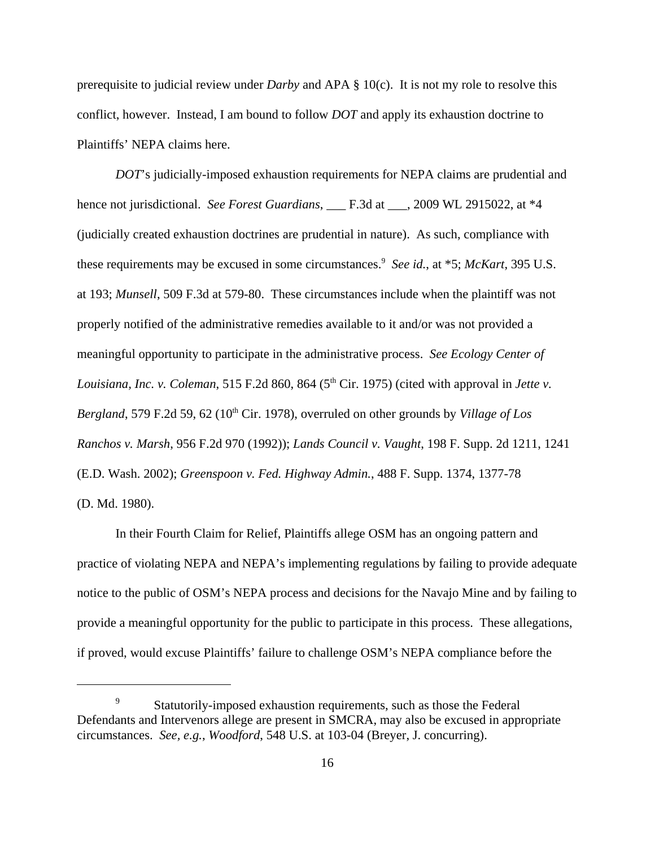prerequisite to judicial review under *Darby* and APA § 10(c). It is not my role to resolve this conflict, however. Instead, I am bound to follow *DOT* and apply its exhaustion doctrine to Plaintiffs' NEPA claims here.

*DOT*'s judicially-imposed exhaustion requirements for NEPA claims are prudential and hence not jurisdictional. *See Forest Guardians*, \_\_\_ F.3d at \_\_\_, 2009 WL 2915022, at \*4 (judicially created exhaustion doctrines are prudential in nature). As such, compliance with these requirements may be excused in some circumstances.<sup>9</sup> See id., at \*5; *McKart*, 395 U.S. at 193; *Munsell*, 509 F.3d at 579-80. These circumstances include when the plaintiff was not properly notified of the administrative remedies available to it and/or was not provided a meaningful opportunity to participate in the administrative process. *See Ecology Center of Louisiana, Inc. v. Coleman,* 515 F.2d 860, 864 (5<sup>th</sup> Cir. 1975) (cited with approval in *Jette v. Bergland*, 579 F.2d 59, 62 (10<sup>th</sup> Cir. 1978), overruled on other grounds by *Village of Los Ranchos v. Marsh*, 956 F.2d 970 (1992)); *Lands Council v. Vaught*, 198 F. Supp. 2d 1211, 1241 (E.D. Wash. 2002); *Greenspoon v. Fed. Highway Admin.*, 488 F. Supp. 1374, 1377-78 (D. Md. 1980).

In their Fourth Claim for Relief, Plaintiffs allege OSM has an ongoing pattern and practice of violating NEPA and NEPA's implementing regulations by failing to provide adequate notice to the public of OSM's NEPA process and decisions for the Navajo Mine and by failing to provide a meaningful opportunity for the public to participate in this process. These allegations, if proved, would excuse Plaintiffs' failure to challenge OSM's NEPA compliance before the

Statutorily-imposed exhaustion requirements, such as those the Federal Defendants and Intervenors allege are present in SMCRA, may also be excused in appropriate circumstances. *See, e.g.*, *Woodford*, 548 U.S. at 103-04 (Breyer, J. concurring).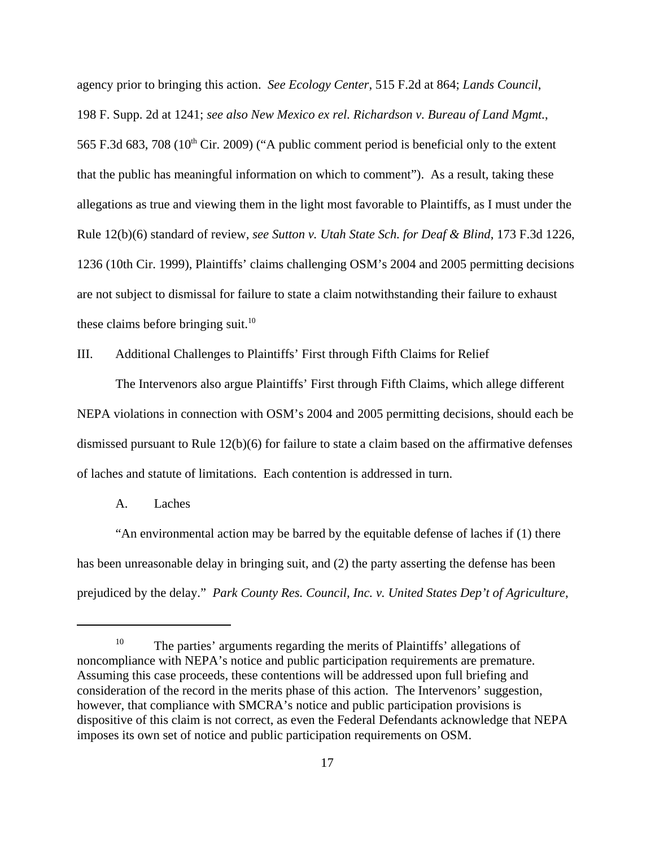agency prior to bringing this action. *See Ecology Center*, 515 F.2d at 864; *Lands Council*, 198 F. Supp. 2d at 1241; *see also New Mexico ex rel. Richardson v. Bureau of Land Mgmt.*, 565 F.3d 683, 708 ( $10^{th}$  Cir. 2009) ("A public comment period is beneficial only to the extent that the public has meaningful information on which to comment"). As a result, taking these allegations as true and viewing them in the light most favorable to Plaintiffs, as I must under the Rule 12(b)(6) standard of review, *see Sutton v. Utah State Sch. for Deaf & Blind*, 173 F.3d 1226, 1236 (10th Cir. 1999), Plaintiffs' claims challenging OSM's 2004 and 2005 permitting decisions are not subject to dismissal for failure to state a claim notwithstanding their failure to exhaust these claims before bringing suit.<sup>10</sup>

III. Additional Challenges to Plaintiffs' First through Fifth Claims for Relief

The Intervenors also argue Plaintiffs' First through Fifth Claims, which allege different NEPA violations in connection with OSM's 2004 and 2005 permitting decisions, should each be dismissed pursuant to Rule 12(b)(6) for failure to state a claim based on the affirmative defenses of laches and statute of limitations. Each contention is addressed in turn.

#### A. Laches

"An environmental action may be barred by the equitable defense of laches if (1) there has been unreasonable delay in bringing suit, and (2) the party asserting the defense has been prejudiced by the delay." *Park County Res. Council, Inc. v. United States Dep't of Agriculture*,

<sup>&</sup>lt;sup>10</sup> The parties' arguments regarding the merits of Plaintiffs' allegations of noncompliance with NEPA's notice and public participation requirements are premature. Assuming this case proceeds, these contentions will be addressed upon full briefing and consideration of the record in the merits phase of this action. The Intervenors' suggestion, however, that compliance with SMCRA's notice and public participation provisions is dispositive of this claim is not correct, as even the Federal Defendants acknowledge that NEPA imposes its own set of notice and public participation requirements on OSM.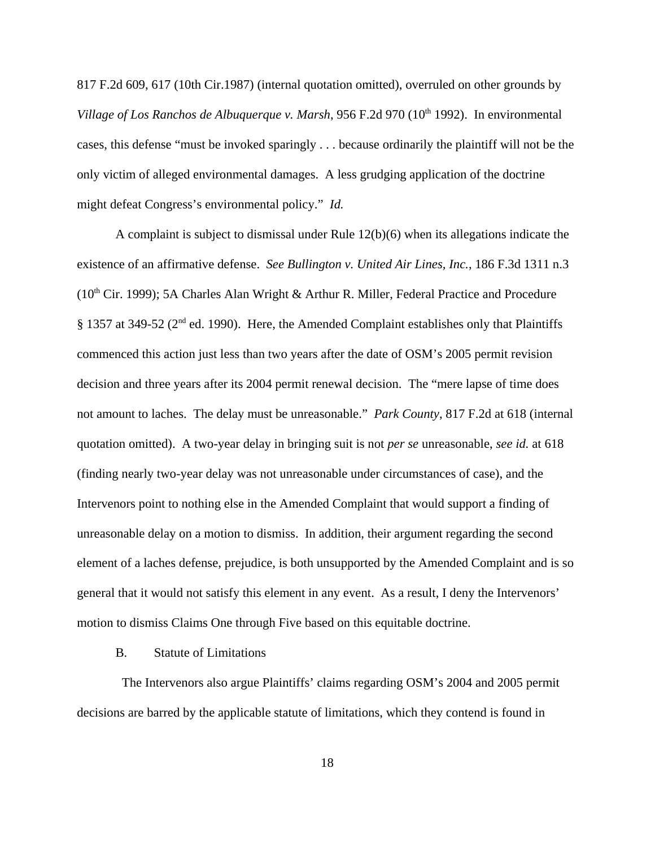817 F.2d 609, 617 (10th Cir.1987) (internal quotation omitted), overruled on other grounds by *Village of Los Ranchos de Albuquerque v. Marsh,* 956 F.2d 970 (10<sup>th</sup> 1992). In environmental cases, this defense "must be invoked sparingly . . . because ordinarily the plaintiff will not be the only victim of alleged environmental damages. A less grudging application of the doctrine might defeat Congress's environmental policy." *Id.*

A complaint is subject to dismissal under Rule 12(b)(6) when its allegations indicate the existence of an affirmative defense. *See Bullington v. United Air Lines, Inc.*, 186 F.3d 1311 n.3 ( $10<sup>th</sup>$  Cir. 1999); 5A Charles Alan Wright & Arthur R. Miller, Federal Practice and Procedure  $§$  1357 at 349-52 ( $2<sup>nd</sup>$  ed. 1990). Here, the Amended Complaint establishes only that Plaintiffs commenced this action just less than two years after the date of OSM's 2005 permit revision decision and three years after its 2004 permit renewal decision. The "mere lapse of time does not amount to laches. The delay must be unreasonable." *Park County*, 817 F.2d at 618 (internal quotation omitted). A two-year delay in bringing suit is not *per se* unreasonable, *see id.* at 618 (finding nearly two-year delay was not unreasonable under circumstances of case), and the Intervenors point to nothing else in the Amended Complaint that would support a finding of unreasonable delay on a motion to dismiss. In addition, their argument regarding the second element of a laches defense, prejudice, is both unsupported by the Amended Complaint and is so general that it would not satisfy this element in any event. As a result, I deny the Intervenors' motion to dismiss Claims One through Five based on this equitable doctrine.

#### B. Statute of Limitations

 The Intervenors also argue Plaintiffs' claims regarding OSM's 2004 and 2005 permit decisions are barred by the applicable statute of limitations, which they contend is found in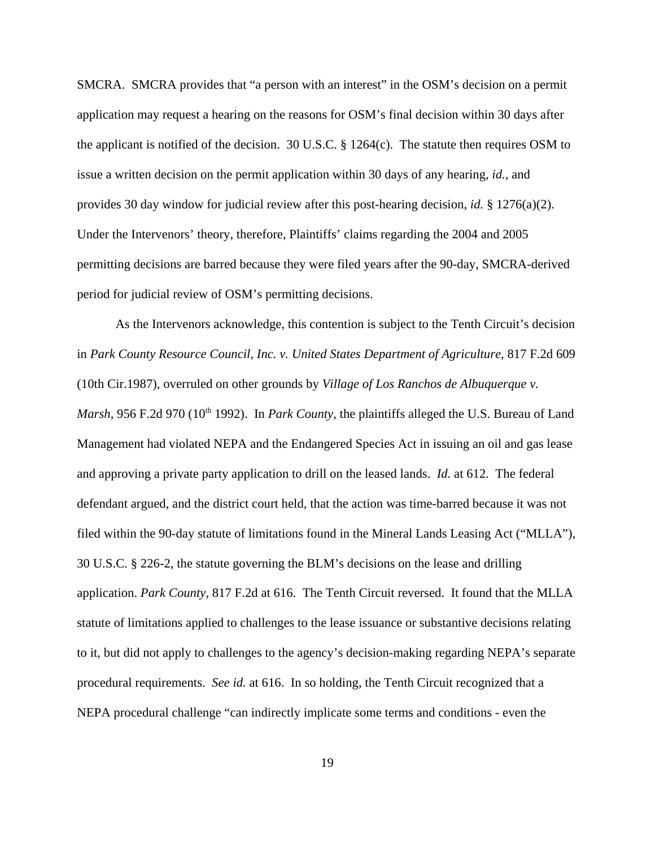SMCRA. SMCRA provides that "a person with an interest" in the OSM's decision on a permit application may request a hearing on the reasons for OSM's final decision within 30 days after the applicant is notified of the decision. 30 U.S.C.  $\S$  1264(c). The statute then requires OSM to issue a written decision on the permit application within 30 days of any hearing, *id.*, and provides 30 day window for judicial review after this post-hearing decision, *id.* § 1276(a)(2). Under the Intervenors' theory, therefore, Plaintiffs' claims regarding the 2004 and 2005 permitting decisions are barred because they were filed years after the 90-day, SMCRA-derived period for judicial review of OSM's permitting decisions.

As the Intervenors acknowledge, this contention is subject to the Tenth Circuit's decision in *Park County Resource Council, Inc. v. United States Department of Agriculture*, 817 F.2d 609 (10th Cir.1987), overruled on other grounds by *Village of Los Ranchos de Albuquerque v. Marsh*, 956 F.2d 970 (10<sup>th</sup> 1992). In *Park County*, the plaintiffs alleged the U.S. Bureau of Land Management had violated NEPA and the Endangered Species Act in issuing an oil and gas lease and approving a private party application to drill on the leased lands. *Id.* at 612. The federal defendant argued, and the district court held, that the action was time-barred because it was not filed within the 90-day statute of limitations found in the Mineral Lands Leasing Act ("MLLA"), 30 U.S.C. § 226-2, the statute governing the BLM's decisions on the lease and drilling application. *Park County*, 817 F.2d at 616. The Tenth Circuit reversed. It found that the MLLA statute of limitations applied to challenges to the lease issuance or substantive decisions relating to it, but did not apply to challenges to the agency's decision-making regarding NEPA's separate procedural requirements. *See id.* at 616. In so holding, the Tenth Circuit recognized that a NEPA procedural challenge "can indirectly implicate some terms and conditions - even the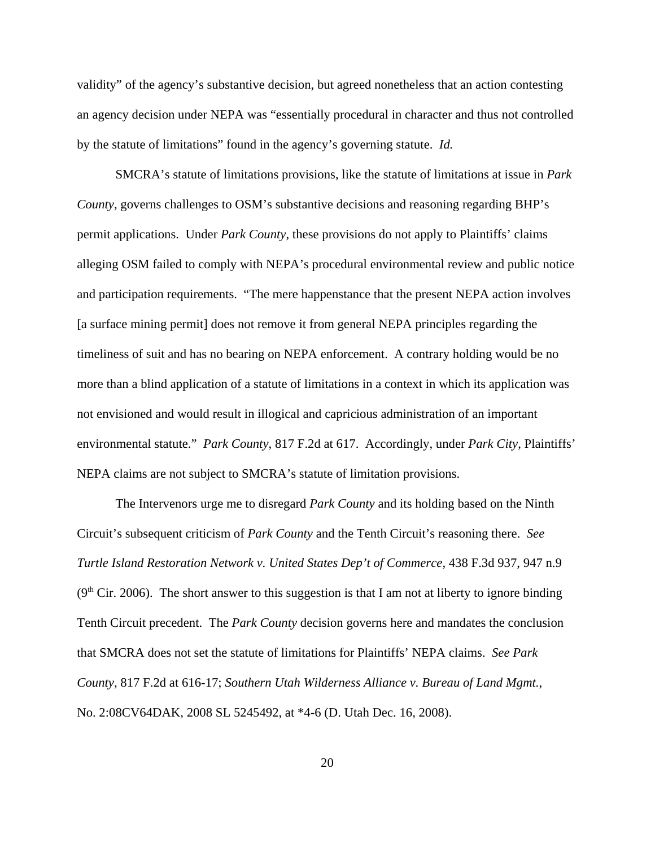validity" of the agency's substantive decision, but agreed nonetheless that an action contesting an agency decision under NEPA was "essentially procedural in character and thus not controlled by the statute of limitations" found in the agency's governing statute. *Id.*

SMCRA's statute of limitations provisions, like the statute of limitations at issue in *Park County*, governs challenges to OSM's substantive decisions and reasoning regarding BHP's permit applications. Under *Park County*, these provisions do not apply to Plaintiffs' claims alleging OSM failed to comply with NEPA's procedural environmental review and public notice and participation requirements. "The mere happenstance that the present NEPA action involves [a surface mining permit] does not remove it from general NEPA principles regarding the timeliness of suit and has no bearing on NEPA enforcement. A contrary holding would be no more than a blind application of a statute of limitations in a context in which its application was not envisioned and would result in illogical and capricious administration of an important environmental statute." *Park County*, 817 F.2d at 617. Accordingly, under *Park City*, Plaintiffs' NEPA claims are not subject to SMCRA's statute of limitation provisions.

The Intervenors urge me to disregard *Park County* and its holding based on the Ninth Circuit's subsequent criticism of *Park County* and the Tenth Circuit's reasoning there. *See Turtle Island Restoration Network v. United States Dep't of Commerce*, 438 F.3d 937, 947 n.9  $(9<sup>th</sup> Cir. 2006)$ . The short answer to this suggestion is that I am not at liberty to ignore binding Tenth Circuit precedent. The *Park County* decision governs here and mandates the conclusion that SMCRA does not set the statute of limitations for Plaintiffs' NEPA claims. *See Park County*, 817 F.2d at 616-17; *Southern Utah Wilderness Alliance v. Bureau of Land Mgmt.*, No. 2:08CV64DAK, 2008 SL 5245492, at \*4-6 (D. Utah Dec. 16, 2008).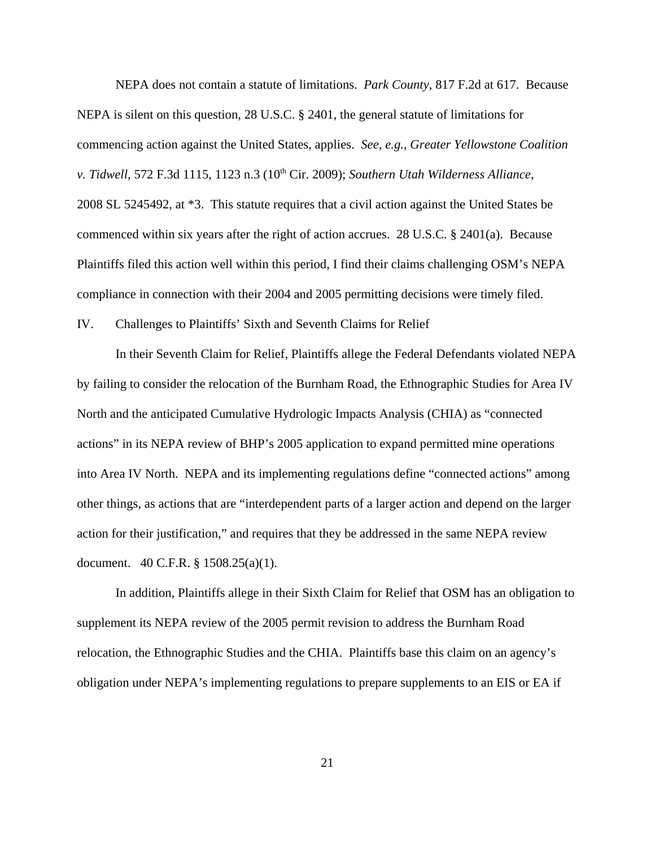NEPA does not contain a statute of limitations. *Park County*, 817 F.2d at 617. Because NEPA is silent on this question, 28 U.S.C. § 2401, the general statute of limitations for commencing action against the United States, applies. *See, e.g.*, *Greater Yellowstone Coalition v. Tidwell*, 572 F.3d 1115, 1123 n.3 (10<sup>th</sup> Cir. 2009); *Southern Utah Wilderness Alliance*, 2008 SL 5245492, at \*3. This statute requires that a civil action against the United States be commenced within six years after the right of action accrues. 28 U.S.C. § 2401(a). Because Plaintiffs filed this action well within this period, I find their claims challenging OSM's NEPA compliance in connection with their 2004 and 2005 permitting decisions were timely filed.

IV. Challenges to Plaintiffs' Sixth and Seventh Claims for Relief

In their Seventh Claim for Relief, Plaintiffs allege the Federal Defendants violated NEPA by failing to consider the relocation of the Burnham Road, the Ethnographic Studies for Area IV North and the anticipated Cumulative Hydrologic Impacts Analysis (CHIA) as "connected actions" in its NEPA review of BHP's 2005 application to expand permitted mine operations into Area IV North. NEPA and its implementing regulations define "connected actions" among other things, as actions that are "interdependent parts of a larger action and depend on the larger action for their justification," and requires that they be addressed in the same NEPA review document. 40 C.F.R. § 1508.25(a)(1).

In addition, Plaintiffs allege in their Sixth Claim for Relief that OSM has an obligation to supplement its NEPA review of the 2005 permit revision to address the Burnham Road relocation, the Ethnographic Studies and the CHIA. Plaintiffs base this claim on an agency's obligation under NEPA's implementing regulations to prepare supplements to an EIS or EA if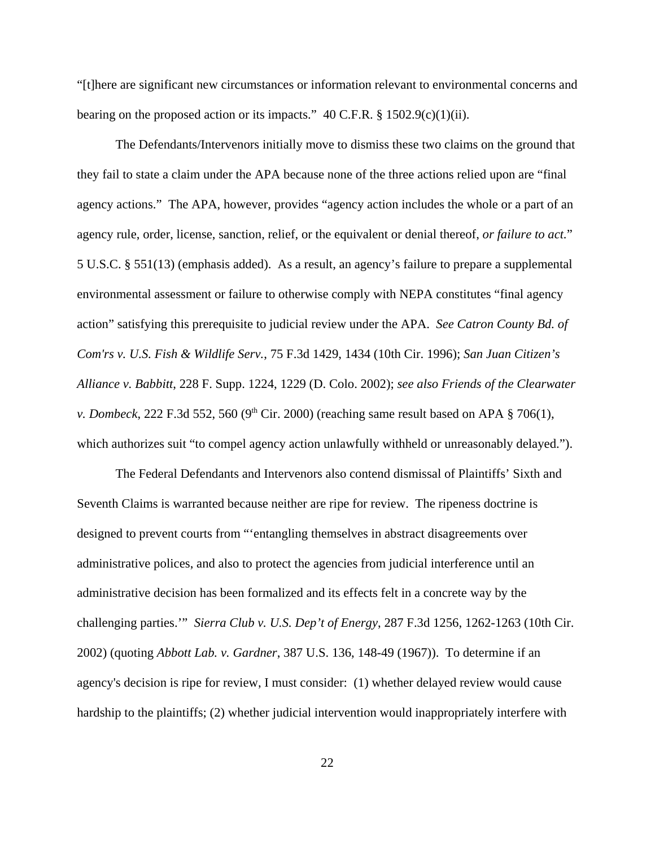"[t]here are significant new circumstances or information relevant to environmental concerns and bearing on the proposed action or its impacts."  $40$  C.F.R. § 1502.9(c)(1)(ii).

The Defendants/Intervenors initially move to dismiss these two claims on the ground that they fail to state a claim under the APA because none of the three actions relied upon are "final agency actions." The APA, however, provides "agency action includes the whole or a part of an agency rule, order, license, sanction, relief, or the equivalent or denial thereof, *or failure to act.*" 5 U.S.C. § 551(13) (emphasis added). As a result, an agency's failure to prepare a supplemental environmental assessment or failure to otherwise comply with NEPA constitutes "final agency action" satisfying this prerequisite to judicial review under the APA. *See Catron County Bd. of Com'rs v. U.S. Fish & Wildlife Serv.*, 75 F.3d 1429, 1434 (10th Cir. 1996); *San Juan Citizen's Alliance v. Babbitt*, 228 F. Supp. 1224, 1229 (D. Colo. 2002); *see also Friends of the Clearwater v. Dombeck*, 222 F.3d 552, 560 (9<sup>th</sup> Cir. 2000) (reaching same result based on APA  $\S$  706(1), which authorizes suit "to compel agency action unlawfully withheld or unreasonably delayed.").

The Federal Defendants and Intervenors also contend dismissal of Plaintiffs' Sixth and Seventh Claims is warranted because neither are ripe for review. The ripeness doctrine is designed to prevent courts from "'entangling themselves in abstract disagreements over administrative polices, and also to protect the agencies from judicial interference until an administrative decision has been formalized and its effects felt in a concrete way by the challenging parties.'" *Sierra Club v. U.S. Dep't of Energy*, 287 F.3d 1256, 1262-1263 (10th Cir. 2002) (quoting *Abbott Lab. v. Gardner*, 387 U.S. 136, 148-49 (1967)). To determine if an agency's decision is ripe for review, I must consider: (1) whether delayed review would cause hardship to the plaintiffs; (2) whether judicial intervention would inappropriately interfere with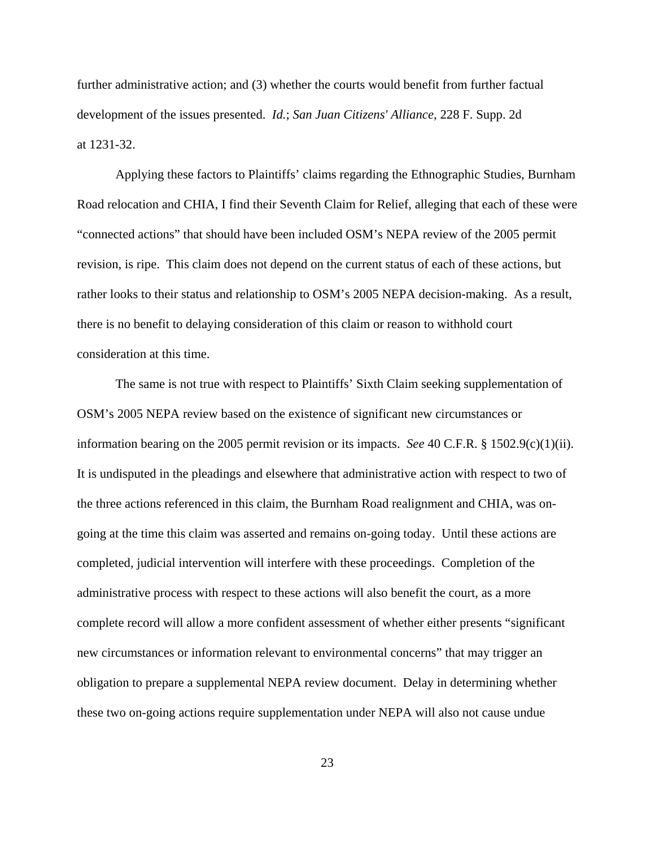further administrative action; and (3) whether the courts would benefit from further factual development of the issues presented. *Id.*; *San Juan Citizens' Alliance*, 228 F. Supp. 2d at 1231-32.

Applying these factors to Plaintiffs' claims regarding the Ethnographic Studies, Burnham Road relocation and CHIA, I find their Seventh Claim for Relief, alleging that each of these were "connected actions" that should have been included OSM's NEPA review of the 2005 permit revision, is ripe. This claim does not depend on the current status of each of these actions, but rather looks to their status and relationship to OSM's 2005 NEPA decision-making. As a result, there is no benefit to delaying consideration of this claim or reason to withhold court consideration at this time.

The same is not true with respect to Plaintiffs' Sixth Claim seeking supplementation of OSM's 2005 NEPA review based on the existence of significant new circumstances or information bearing on the 2005 permit revision or its impacts. *See* 40 C.F.R. § 1502.9(c)(1)(ii). It is undisputed in the pleadings and elsewhere that administrative action with respect to two of the three actions referenced in this claim, the Burnham Road realignment and CHIA, was ongoing at the time this claim was asserted and remains on-going today. Until these actions are completed, judicial intervention will interfere with these proceedings. Completion of the administrative process with respect to these actions will also benefit the court, as a more complete record will allow a more confident assessment of whether either presents "significant new circumstances or information relevant to environmental concerns" that may trigger an obligation to prepare a supplemental NEPA review document. Delay in determining whether these two on-going actions require supplementation under NEPA will also not cause undue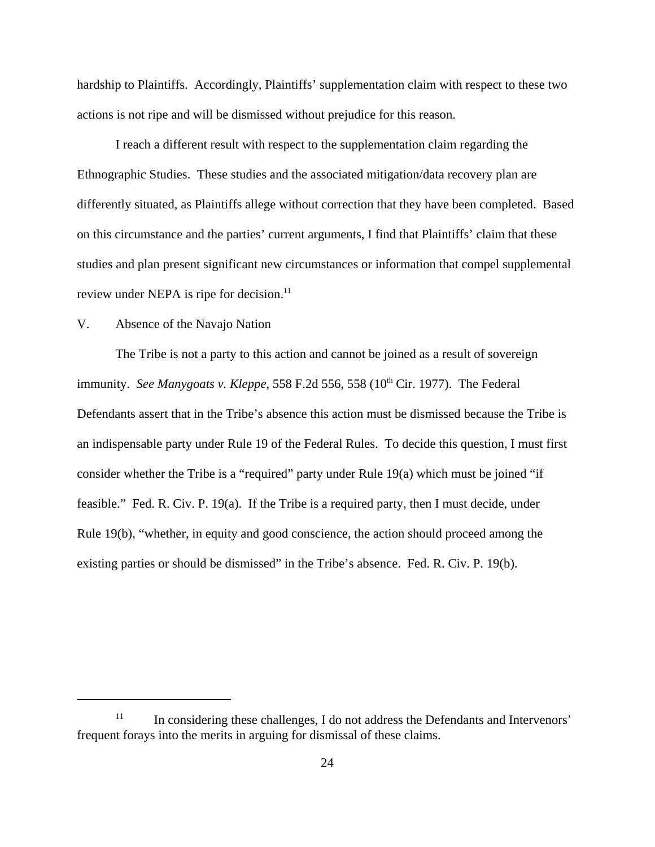hardship to Plaintiffs. Accordingly, Plaintiffs' supplementation claim with respect to these two actions is not ripe and will be dismissed without prejudice for this reason.

I reach a different result with respect to the supplementation claim regarding the Ethnographic Studies. These studies and the associated mitigation/data recovery plan are differently situated, as Plaintiffs allege without correction that they have been completed. Based on this circumstance and the parties' current arguments, I find that Plaintiffs' claim that these studies and plan present significant new circumstances or information that compel supplemental review under NEPA is ripe for decision.<sup>11</sup>

## V. Absence of the Navajo Nation

The Tribe is not a party to this action and cannot be joined as a result of sovereign immunity. *See Manygoats v. Kleppe*, 558 F.2d 556, 558 (10<sup>th</sup> Cir. 1977). The Federal Defendants assert that in the Tribe's absence this action must be dismissed because the Tribe is an indispensable party under Rule 19 of the Federal Rules. To decide this question, I must first consider whether the Tribe is a "required" party under Rule 19(a) which must be joined "if feasible." Fed. R. Civ. P. 19(a). If the Tribe is a required party, then I must decide, under Rule 19(b), "whether, in equity and good conscience, the action should proceed among the existing parties or should be dismissed" in the Tribe's absence. Fed. R. Civ. P. 19(b).

<sup>&</sup>lt;sup>11</sup> In considering these challenges, I do not address the Defendants and Intervenors' frequent forays into the merits in arguing for dismissal of these claims.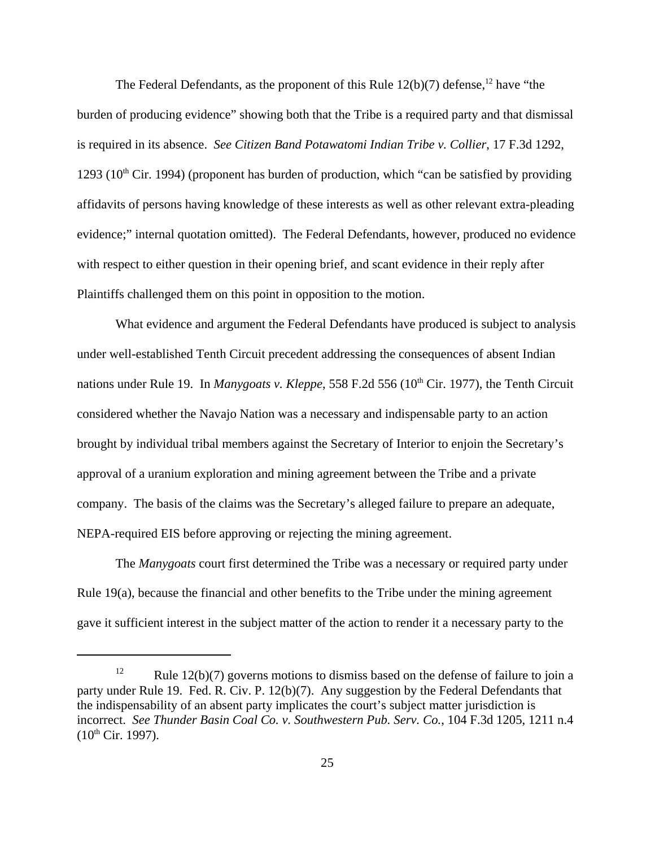The Federal Defendants, as the proponent of this Rule  $12(b)(7)$  defense,<sup>12</sup> have "the burden of producing evidence" showing both that the Tribe is a required party and that dismissal is required in its absence. *See Citizen Band Potawatomi Indian Tribe v. Collier*, 17 F.3d 1292, 1293 ( $10<sup>th</sup>$  Cir. 1994) (proponent has burden of production, which "can be satisfied by providing affidavits of persons having knowledge of these interests as well as other relevant extra-pleading evidence;" internal quotation omitted). The Federal Defendants, however, produced no evidence with respect to either question in their opening brief, and scant evidence in their reply after Plaintiffs challenged them on this point in opposition to the motion.

What evidence and argument the Federal Defendants have produced is subject to analysis under well-established Tenth Circuit precedent addressing the consequences of absent Indian nations under Rule 19. In *Manygoats v. Kleppe*, 558 F.2d 556 (10<sup>th</sup> Cir. 1977), the Tenth Circuit considered whether the Navajo Nation was a necessary and indispensable party to an action brought by individual tribal members against the Secretary of Interior to enjoin the Secretary's approval of a uranium exploration and mining agreement between the Tribe and a private company. The basis of the claims was the Secretary's alleged failure to prepare an adequate, NEPA-required EIS before approving or rejecting the mining agreement.

The *Manygoats* court first determined the Tribe was a necessary or required party under Rule 19(a), because the financial and other benefits to the Tribe under the mining agreement gave it sufficient interest in the subject matter of the action to render it a necessary party to the

<sup>&</sup>lt;sup>12</sup> Rule 12(b)(7) governs motions to dismiss based on the defense of failure to join a party under Rule 19. Fed. R. Civ. P. 12(b)(7). Any suggestion by the Federal Defendants that the indispensability of an absent party implicates the court's subject matter jurisdiction is incorrect. *See Thunder Basin Coal Co. v. Southwestern Pub. Serv. Co.*, 104 F.3d 1205, 1211 n.4  $(10^{th}$  Cir. 1997).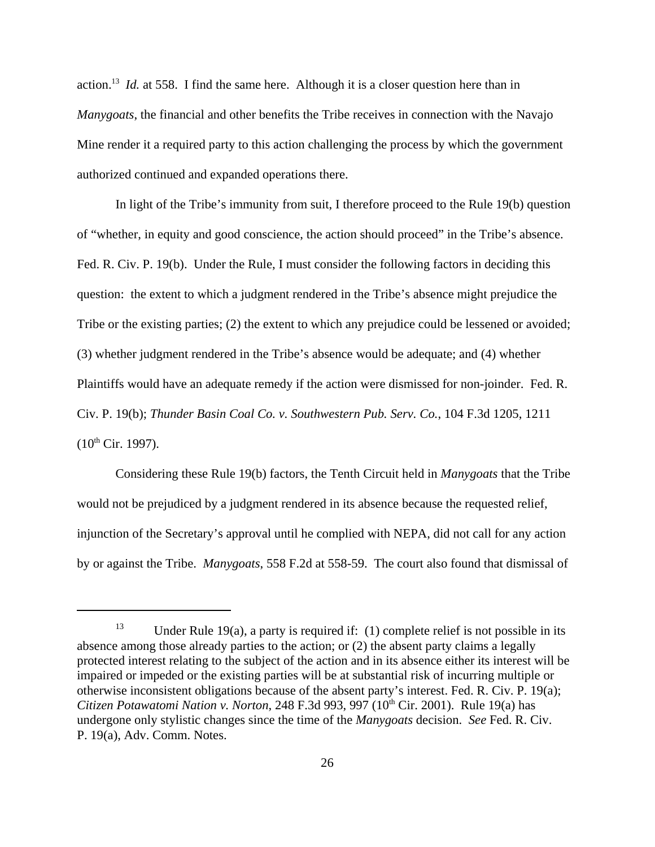action.13 *Id.* at 558. I find the same here. Although it is a closer question here than in *Manygoats*, the financial and other benefits the Tribe receives in connection with the Navajo Mine render it a required party to this action challenging the process by which the government authorized continued and expanded operations there.

In light of the Tribe's immunity from suit, I therefore proceed to the Rule 19(b) question of "whether, in equity and good conscience, the action should proceed" in the Tribe's absence. Fed. R. Civ. P. 19(b). Under the Rule, I must consider the following factors in deciding this question: the extent to which a judgment rendered in the Tribe's absence might prejudice the Tribe or the existing parties; (2) the extent to which any prejudice could be lessened or avoided; (3) whether judgment rendered in the Tribe's absence would be adequate; and (4) whether Plaintiffs would have an adequate remedy if the action were dismissed for non-joinder. Fed. R. Civ. P. 19(b); *Thunder Basin Coal Co. v. Southwestern Pub. Serv. Co.*, 104 F.3d 1205, 1211  $(10^{th}$  Cir. 1997).

Considering these Rule 19(b) factors, the Tenth Circuit held in *Manygoats* that the Tribe would not be prejudiced by a judgment rendered in its absence because the requested relief, injunction of the Secretary's approval until he complied with NEPA, did not call for any action by or against the Tribe. *Manygoats*, 558 F.2d at 558-59. The court also found that dismissal of

Under Rule 19(a), a party is required if:  $(1)$  complete relief is not possible in its absence among those already parties to the action; or (2) the absent party claims a legally protected interest relating to the subject of the action and in its absence either its interest will be impaired or impeded or the existing parties will be at substantial risk of incurring multiple or otherwise inconsistent obligations because of the absent party's interest. Fed. R. Civ. P. 19(a); *Citizen Potawatomi Nation v. Norton,* 248 F.3d 993, 997 (10<sup>th</sup> Cir. 2001). Rule 19(a) has undergone only stylistic changes since the time of the *Manygoats* decision. *See* Fed. R. Civ. P. 19(a), Adv. Comm. Notes.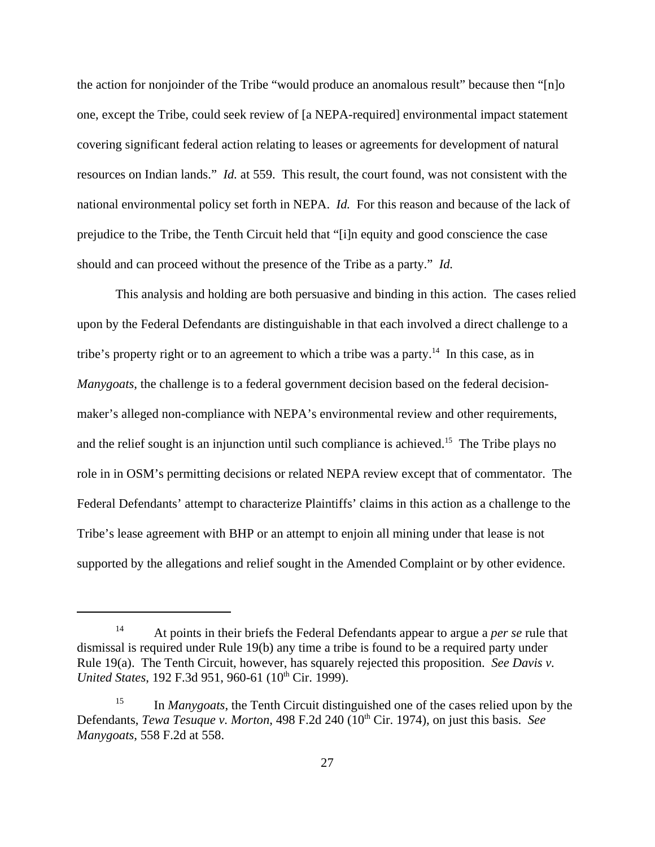the action for nonjoinder of the Tribe "would produce an anomalous result" because then "[n]o one, except the Tribe, could seek review of [a NEPA-required] environmental impact statement covering significant federal action relating to leases or agreements for development of natural resources on Indian lands." *Id.* at 559. This result, the court found, was not consistent with the national environmental policy set forth in NEPA. *Id.* For this reason and because of the lack of prejudice to the Tribe, the Tenth Circuit held that "[i]n equity and good conscience the case should and can proceed without the presence of the Tribe as a party." *Id.*

This analysis and holding are both persuasive and binding in this action. The cases relied upon by the Federal Defendants are distinguishable in that each involved a direct challenge to a tribe's property right or to an agreement to which a tribe was a party.<sup>14</sup> In this case, as in *Manygoats*, the challenge is to a federal government decision based on the federal decisionmaker's alleged non-compliance with NEPA's environmental review and other requirements, and the relief sought is an injunction until such compliance is achieved.<sup>15</sup> The Tribe plays no role in in OSM's permitting decisions or related NEPA review except that of commentator. The Federal Defendants' attempt to characterize Plaintiffs' claims in this action as a challenge to the Tribe's lease agreement with BHP or an attempt to enjoin all mining under that lease is not supported by the allegations and relief sought in the Amended Complaint or by other evidence.

<sup>14</sup> At points in their briefs the Federal Defendants appear to argue a *per se* rule that dismissal is required under Rule 19(b) any time a tribe is found to be a required party under Rule 19(a). The Tenth Circuit, however, has squarely rejected this proposition. *See Davis v. United States*, 192 F.3d 951, 960-61 (10<sup>th</sup> Cir. 1999).

<sup>&</sup>lt;sup>15</sup> In *Manygoats*, the Tenth Circuit distinguished one of the cases relied upon by the Defendants, *Tewa Tesuque v. Morton*, 498 F.2d 240 (10<sup>th</sup> Cir. 1974), on just this basis. *See Manygoats*, 558 F.2d at 558.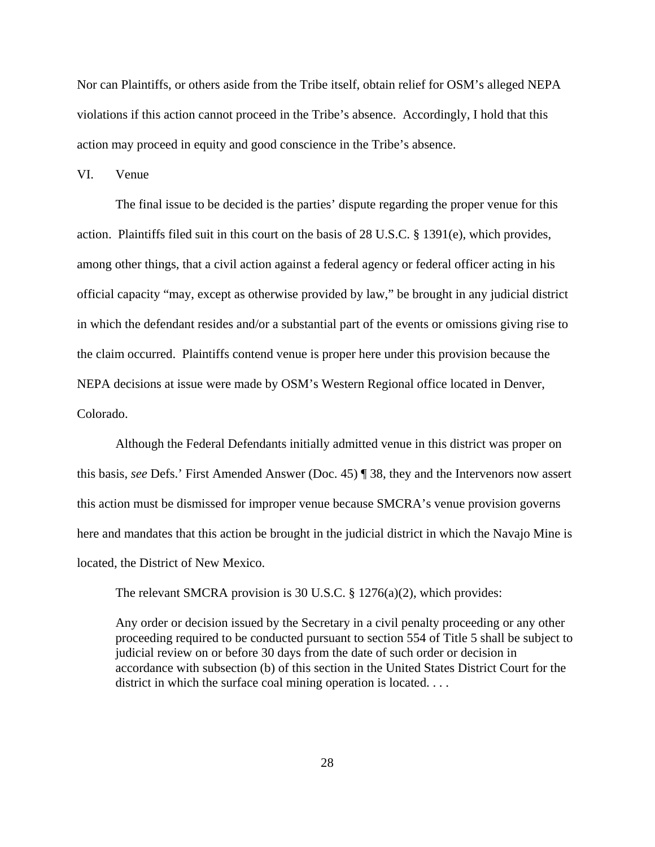Nor can Plaintiffs, or others aside from the Tribe itself, obtain relief for OSM's alleged NEPA violations if this action cannot proceed in the Tribe's absence. Accordingly, I hold that this action may proceed in equity and good conscience in the Tribe's absence.

VI. Venue

The final issue to be decided is the parties' dispute regarding the proper venue for this action. Plaintiffs filed suit in this court on the basis of 28 U.S.C. § 1391(e), which provides, among other things, that a civil action against a federal agency or federal officer acting in his official capacity "may, except as otherwise provided by law," be brought in any judicial district in which the defendant resides and/or a substantial part of the events or omissions giving rise to the claim occurred. Plaintiffs contend venue is proper here under this provision because the NEPA decisions at issue were made by OSM's Western Regional office located in Denver, Colorado.

Although the Federal Defendants initially admitted venue in this district was proper on this basis, *see* Defs.' First Amended Answer (Doc. 45) ¶ 38, they and the Intervenors now assert this action must be dismissed for improper venue because SMCRA's venue provision governs here and mandates that this action be brought in the judicial district in which the Navajo Mine is located, the District of New Mexico.

The relevant SMCRA provision is 30 U.S.C. § 1276(a)(2), which provides:

Any order or decision issued by the Secretary in a civil penalty proceeding or any other proceeding required to be conducted pursuant to section 554 of Title 5 shall be subject to judicial review on or before 30 days from the date of such order or decision in accordance with subsection (b) of this section in the United States District Court for the district in which the surface coal mining operation is located. . . .